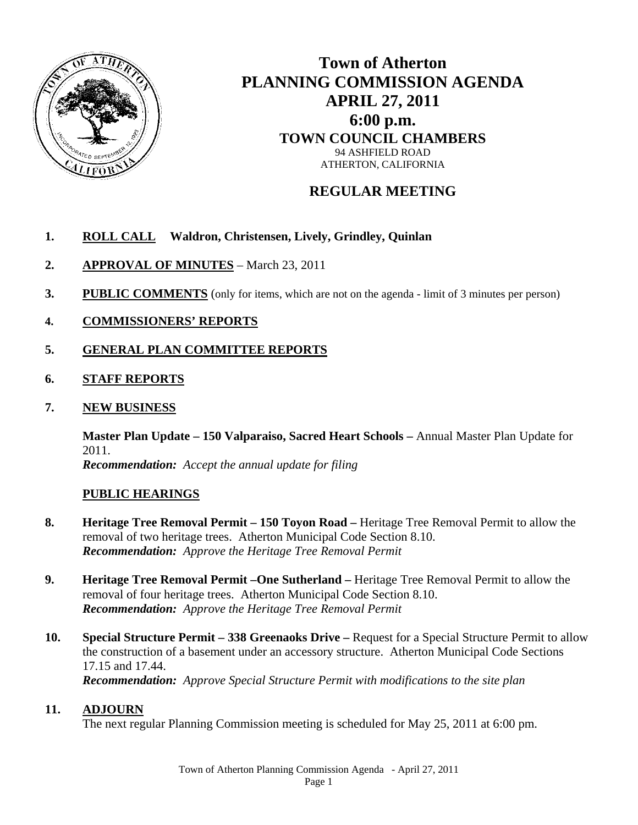

# **Town of Atherton PLANNING COMMISSION AGENDA APRIL 27, 2011 6:00 p.m. TOWN COUNCIL CHAMBERS**  94 ASHFIELD ROAD ATHERTON, CALIFORNIA

## **REGULAR MEETING**

## **1. ROLL CALL Waldron, Christensen, Lively, Grindley, Quinlan**

- **2. APPROVAL OF MINUTES** March 23, 2011
- **3. PUBLIC COMMENTS** (only for items, which are not on the agenda limit of 3 minutes per person)
- **4. COMMISSIONERS' REPORTS**
- **5. GENERAL PLAN COMMITTEE REPORTS**
- **6. STAFF REPORTS**
- **7. NEW BUSINESS**

**Master Plan Update – 150 Valparaiso, Sacred Heart Schools –** Annual Master Plan Update for 2011.  *Recommendation: Accept the annual update for filing* 

### **PUBLIC HEARINGS**

- **8. Heritage Tree Removal Permit 150 Toyon Road** Heritage Tree Removal Permit to allow the removal of two heritage trees. Atherton Municipal Code Section 8.10.  *Recommendation: Approve the Heritage Tree Removal Permit*
- **9. Heritage Tree Removal Permit –One Sutherland** Heritage Tree Removal Permit to allow the removal of four heritage trees. Atherton Municipal Code Section 8.10.  *Recommendation: Approve the Heritage Tree Removal Permit*
- **10. Special Structure Permit 338 Greenaoks Drive** Request for a Special Structure Permit to allow the construction of a basement under an accessory structure. Atherton Municipal Code Sections 17.15 and 17.44. *Recommendation: Approve Special Structure Permit with modifications to the site plan*

### **11. ADJOURN**

The next regular Planning Commission meeting is scheduled for May 25, 2011 at 6:00 pm.